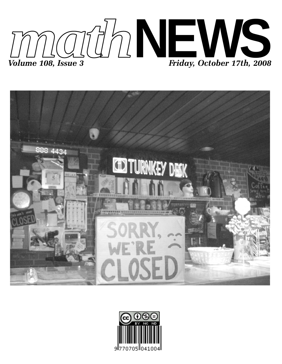



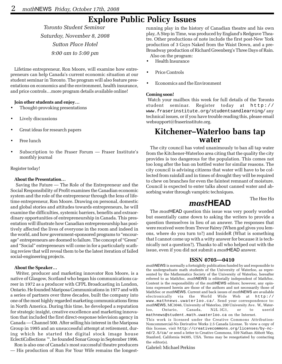## **Explore Public Policy Issues**

*Toronto Student Seminar Saturday, November 8, 2008 Sutton Place Hotel 9:00 am to 5:00 pm*

Lifetime entrepreneur, Ron Moore, will examine how entrepreneurs can help Canada's current economic situation at our student seminar in Toronto. The program will also feature presentations on economics and the environment, health insurance, and price controls…more program details available online!

#### **Join other students and enjoy…**

- Thought-provoking presentations
- Lively discussions
- Great ideas for research papers
- Free lunch
- Subscription to the Fraser Forum Fraser Institute's monthly journal

#### Register today!

#### **About the Presentation…**

 Saving the Future — The Role of the Entrepreneur and the Social Responsibility of Profit examines the Canadian economic system and the role of the entrepreneur through the lens of lifetime entrepreneur, Ron Moore. Drawing on personal, domestic and global stories and attitudes towards entrepreneurs, he will examine the difficulties, systemic barriers, benefits and extraordinary opportunities of entrepreneurship in Canada. This presentation will illustrate how Canadian entrepreneurship has positively affected the lives of everyone in the room and indeed in the world, and how government-sponsored programs to "encourage" entrepreneurs are doomed to failure. The concept of "Green" and "Social" entrepreneurs will come in for a particularly scathing review that will reveal them to be the latest iteration of failed social-engineering projects.

#### **About the Speaker…**

 Writer, producer and marketing innovator Ron Moore, is a native of Glasgow, Scotland who began his communications career in 1972 as a producer with CFPL Broadcasting in London, Ontario. He founded Mariposa Communications in 1977 and with a series of partners over three decades, built the company into one of the most highly regarded marketing communications firms in North America. During this time, he developed a reputation for strategic insight, creative excellence and marketing innovation that included the first direct-response television agency in Canada — Channel 500. After selling his interest in the Mariposa Group in 1995 and an unsuccessful attempt at retirement, during which he started the digital stock image house EclectiCollections ™, he founded Sonar Group in September 1996.

Ron is also one of Canada's most successful theatre producers — His production of Run For Your Wife remains the longestrunning play in the history of Canadian theatre and his own play, A Step in Time, was produced by England's Redgrave Theatre. Other productions of note include the first post-New York production of 3 Guys Naked from the Waist Down, and a pre-Broadway production of Richard Greenberg's Three Days of Rain.

- Also on the program: • Health Insurance
- 
- Price Controls
- Economics and the Environment

#### **Coming soon!**

 Watch your mailbox this week for full details of the Toronto student seminar. Register today at http:// www.fraserinstitute.org/studentsandlearning/ any technical issues, or if you have trouble reading this, please email websupport@fraserinstitute.org.

### **Kitchener–Waterloo bans tap water**

The city council has voted unanimously to ban all tap water from the Kitchener-Waterloo area citing that the quality the city provides is too dangerous for the population. This comes not too long after the ban on bottled water for similar reasons. The city council is advising citizens that water will have to be collected from rainfall and in times of drought they will be required to chew on branches for even the faintest remnant of moisture. Council is expected to enter talks about canned water and absorbing water through vampiric techniques.

The Hee Ho

### *mast***HEAD**

The *mast*HEAD question this issue was very poorly worded but essentially came down to asking the writers to provide a question themselves in lieu of an answer. The responses that were received were from Trevor Fairey (When god gives you lemons, where do you turn to?) and InsideR (What is something that I cannot come up with a witty answer for because it is technically not a question?). Thanks to all who helped out with the issue, even if you did not submit a *mast*HEAD answer.

#### **ISSN 0705—0410**

*math*NEWS is normally a fortnightly publication funded by and responsible to the undergraduate math students of the University of Waterloo, as represented by the Mathematics Society of the University of Waterloo, hereafter referred to as MathSoc. *math*NEWS is editorially independent of MathSoc. Content is the responsibility of the *math*NEWS editors; however, any opinions expressed herein are those of the authors and not necessarily those of MathSoc or *math*NEWS. Current and back issues of *math*NEWS are available electronically via the World Wide Web at http:// www.mathnews.uwaterloo.ca/. Send your correspondence to: *math*NEWS, MC3046, University of Waterloo, 200 University Ave. W., Waterloo, Ontario, Canada, N2L 3G1, or to userid mathnews@student.math.uwaterloo.ca on the Internet.

This work is licensed under the Creative Commons Attribution-Noncommercial-No Derivative Works 2.5 Canada License. To view a copy of this license, visit http://creativecommons.org/licenses/by-ncnd/2.5/ca/ or send a letter to Creative Commons, 559 Nathan Abbott Way, Stanford, California 94305, USA. Terms may be renegotiated by contacting the editor(s).

Gabriel: Michael Perkins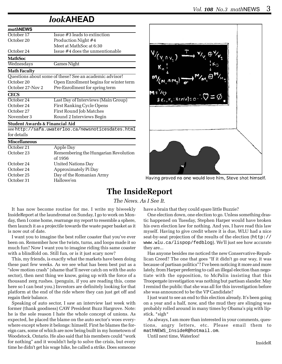## *look***AHEAD**

| mathNEWS            |                                                         |
|---------------------|---------------------------------------------------------|
| October 17          | Issue #3 leads to extinction                            |
| October 20          | Production Night #4                                     |
|                     | Meet at MathSoc at 6:30                                 |
| October 24          | Issue #4 does the unmentionable                         |
| <b>MathSoc</b>      |                                                         |
| Wednesdays          | <b>Games Night</b>                                      |
| <b>Math Faculty</b> |                                                         |
|                     | Questions about some of these? See an academic advisor! |
| October 20          | Open Enrollment begins for winter term                  |
| October 27-Nov 2    | Pre-Enrollment for spring term                          |
| <b>CECS</b>         |                                                         |
| October 24          | Last Day of Interviews (Main Group)                     |
| October 24          | First Ranking Cycle Opens                               |
| October 27          | First Round Job Matches                                 |
| November 3          | Round 2 Interviews Begin                                |
| <b>L</b> . m        | .                                                       |

#### **Student Awards & Financial Aid**

see http://safa.uwaterloo.ca/newsnoticesdates.html for details

#### **Miscellaneous**

| October 21 | Apple Day                            |
|------------|--------------------------------------|
| October 23 | Remembering the Hungarian Revolution |
|            | of 1956                              |
| October 24 | <b>United Nations Day</b>            |
| October 24 | Approximately Pi Day                 |
| October 25 | Day of the Romanian Army             |
| October 31 | Hallowe'en                           |
|            |                                      |



Having proved no one would love him, Steve shot himself.

### **The InsideReport**

### *The News. As I See It.*

It has now become routine for me. I write my biweekly InsideReport at the laundromat on Sunday, I go to work on Monday, then I come home, rearrange my report to resemble a sphere, then launch it as a projectile towards the waste paper basket as it is now out of date.

I want you to imagine the best roller coaster that you've ever been on. Remember how the twists, turns, and loops made it so much fun? Now I want you to imagine riding this same coaster with a blindfold on. Still fun, or is it just scary now?

This, my friends, is exactly what the markets have been doing these past few weeks. As we see what has been best put as a "slow motion crash" (shame that'll never catch on with the auto sector), then next thing we know, going up with the force of a thousand zerg rushes. (penguin, if you are reading this, come here so I can beat you.) Investors are definitely looking for that platform at the end of the ride where they can just get off and regain their balance.

Speaking of auto sector, I saw an interview last week with former (thank goodness) CAW President Buzz Hargrove. Note: he is the sole reason I hate the whole concept of unions. As expected, he placed the blame on the auto sector's woes everywhere except where it belongs: himself. First he blames the foreign cars, some of which are now being built in my hometown of Woodstock, Ontario. He also said that his members could "work for nothing" and it wouldn't help to solve the crisis, but every time he didn't get his wage hike, he called a strike. Does someone

have a brain that they could spare little Buzzie?

One election down, one election to go. Unless something drastic happened on Tuesday, Stephen Harper would have broken his own election law for nothing. And yes, I have read this law myself. Having to give credit where it is due, WLU had a nice seat-by-seat projection of the results of the election (http:// www.wlu.ca/lispop/fedblog). We'll just see how accurate they are...

Has anyone besides me noticed the new Conservative-Republican Creed? The one that goes "If it didn't go our way, it was because of partisan politics"? I've been noticing it more and more lately, from Harper preferring to call an illegal election than negotiate with the opposition, to McPalin insisting that this Troopergate investigation was nothing but partisan slander. May I remind the public that she was all for this investigation before she was announced to be the VP Candidate?

I just want to see an end to this election already. It's been going on a year and a half, now, and the mud they are slinging was probably rolled around in many times by Obama's pig with lipstick. \*sigh\*

As always, I am more than interested in your comments, questions, angry letters, etc. Please email them to mathNEWS\_InsideR@hotmail.om.

Until next time, Waterloo!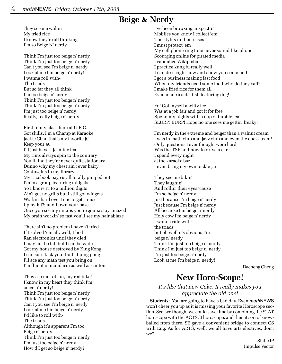## **Beige & Nerdy**

They see me wokin' My fried rice I know they're all thinking I'm so Beige N' nerdy

 Think I'm just too beige n' nerdy Think I'm just too beige n' nerdy Can't you see I'm beige n' nerdy Look at me I'm beige n' nerdy! I wanna roll with- The triads But so far they all think I'm too beige n' nerdy Think I'm just too beige n' nerdy Think I'm just too beige n' nerdy I'm just too beige n' nerdy Really, really beige n' nerdy

 First in my class here at U.B.C. Got skills, I'm a Champ at Karaoke Jackie Chan that's my favorite JC Keep your 40 I'll just have a Jasmine tea My rims always spin to the contrary You'll find they're never quite stationary Dunno why my chest ain't ever hairy Confuscius in my library My Facebook page is all totally pimped out I'm in a group featuring midgets Yo I know Pi to a million digits Ain't got no grills but I still got widgets Workin' hard over time to get a raise I play RTS and I own your base Once you see my micros you're gonna stay amazed, My brain workin' so fast you'll see my hair ablaze

 There ain't no problem I haven't tried If I solved 'em all, well, I lied Ran electronics until they died I may not be tall but I can be wide Got my house destroyed by King Kong I can sure kick your butt at ping pong I'll ace any math test you bring on I'm fluent in mandarin as well as canton

 They see me roll on, my red bike! I know in my heart they think I'm beige n' nerdy! Think I'm just too beige n' nerdy Think I'm just too beige n' nerdy Can't you see I'm beige n' nerdy Look at me I'm beige n' nerdy I'd like to roll with- The triads Although it's apparent I'm too Beige n' nerdy Think I'm just too beige n' nerdy I'm just too beige n' nerdy How'd I get so beige n' nerdy?

 I've been browsing, inspectin' Mobiles you know I collect 'em The stylus in their cases I must protect 'em My cell phone ring tone never sound like phone Scourging online for pirated media I vandalize Wikipedia I practice kung fu really well I can do it right now and show you some hell I got a business making fast food When my friends need some food who do they call? I make fried rice for them all Even made a side dish featuring dog!

 Yo! Got myself a witty tee Was at a job fair and got it for free Spend my nights with a cup of bubble tea SLURP! BURP! Hope no one sees me gettin' freaky!

 I'm nerdy in the extreme and beiger than a walnut cream I was in math club and jazz club and even the chess team! Only questions I ever thought were hard Was the TSP and how to drive a car I spend every night at the karaoke bar I even bring my own pickle jar

 They see me bikin' They laughin' And rollin' their eyes 'cause I'm so beige n' nerdy Just because I'm beige n' nerdy Just because I'm beige n' nerdy All because I'm beige n' nerdy Holy cow I'm beige n' nerdy I wanna ride with the triads but oh well it's obvious I'm beige n' nerdy Think I'm just too beige n' nerdy Think I'm just too beige n' nerdy I'm just too beige n' nerdy Look at me I'm beige n' nerdy!

Dacheng Cheng

# **New Horo-Scope!**

### *It's like that new Coke. It really makes you appreciate the old one!*

**Students:** You are going to have a bad day. Even *math*NEWS won't cheer you up as it is missing your favorite Horoscope section. See, we thought we could save time by combining the STAT horoscope with the ACTSCI horoscope, and then it sort of snowballed from there. SE gave a convenient bridge to connect CS with Eng. As for ARTS, well, we all have arts electives, don't we?

> Static IP Impulse Vector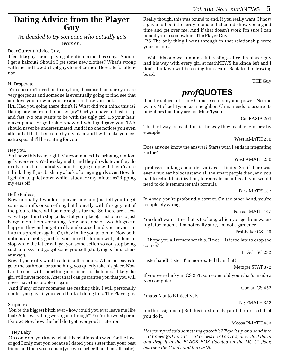### **Dating Advice from the Player Guy**

*We decided to try someone who actually gets women.*

### Dear Current Advice Guy,

 I feel like guys aren't paying attention to me these days. Should I get a haircut? Should I get some new clothes? What's wrong with me and how do I get guys to notice me?! Deserate for attention

### Hi Desperate

 You shouldn't need to do anything because I am sure you are very gorgeous and someone is eventually going to find see that and love you for who you are and not how you look.

**HA.** Had you going there didn't I? What did you think this is? Dating advice from the pussy guy? Girl you have to flash it up and fast. No one wants to be with the ugly girl. Do your hair, makeup and for god sakes show off what god gave you. T&A should never be underestimated. And if no one notices you even after all of that, then come by my place and I will make you feel extra special.I'll be waiting for you

### Hey you,

 So I have this issue, right. My roommates like bringing random girls over every Wednesday night, and they do whatever they do really loud. I'm kinda shy about bringing it up with them 'cause I think they'll just bash my... lack of bringing girls over. How do I get him to quiet down while I study for my midterms?Ripping my ears off

#### Hello Earless,

Now normally I wouldn't player hate and just tell you to get some earmuffs or something but honestly with this guy out of the picture there will be more girls for me. So there are a few ways to get him to stop (at least at your place). First one is to just barge in on them screaming. Now here, one of two things can happen: they either get really embarassed and you never run into this problem again. Or, they invite you to join in. Now both options are pretty good for you since the former will get them to stop while the latter will get you some action so you stop being such a pussy and go get some yourself (studying is for suckers anyway).

Now if you really want to add insult to injury. When he leaves to go to the bathroom or something, you quietly take his place. Now bar the door with something and since it is dark, most likely the girl will never notice. After that I can guarantee you that you will never have this problem again.

 And if any of my roomates are reading this, I will personally neuter you guys if you even think of doing this. The Player guy

#### Stupid ex,

 You're the biggest bitch ever - how could you ever leave me like that? After everything we've gone through?! You're the worst peron I know! Now how the hell do I get over you?I Hate You

### Hey Baby,

 Oh come on, you knew what this relationship was. For the love of god I only met you because I dated your sister then your best friend and then your cousin (you were better than them all, baby).

Really though, this was bound to end. If you really want, I know a guy and his little nerdy roomate that could show you a good time and get over me. And if that doesn't work I'm sure I can pencil you in somewhere.The Player Guy

 P.S The only thing I went through in that relationship were your insides.

Well this one was ummm...interesting...after the player guy had his way with every girl at mathNEWS he kinda left and I don't think we will be seeing him again. Back to the drawing board

THE Guy

## *prof***QUOTES**

[On the subject of rising Chinese economy and power] No one wants Michael Tyson as a neighbor. China needs to assure its neighbors that they are not Mike Tyson.

#### Cai EASIA 201

The best way to teach this is the way they teach engineers: by example

West AMATH 250

Does anyone know the answer? Starts with I ends in ntegrating Factor?

### West AMATH 250

[professor talking about derivatives as limits] So, if there was ever a nuclear holocaust and all the smart people died, and you had to rebuild civilization, to recreate calculus all you would need to do is remember this formula

Park MATH 137

In a way, you're profoundly correct. On the other hand, you're completely wrong.

#### Forrest MATH 147

You don't want a tree that is too long, which you get from watering it too much… I'm not really sure, I'm not a gardener.

Prabhakar CS 145

I hope you all remember this. If not… Is it too late to drop the course?

Li ACTSC 232

Faster hand! Faster! I'm more exited than that!

Metzger STAT 372

If you were lucky in CS 251, someone told you what's inside a *real* computer

Cowan CS 452

*f* maps A onto B injectively.

Ng PMATH 352

[on the assignment] But this is extremely painful to do, so I'll let you do it.

#### Moosa PMATH 433

*Has your prof said something quotable? Type it up and send it to* mathnews@student.math.uwaterloo.ca*, or write it down and drop it in the BLACK BOX (located on the MC 3rd floor, between the Comfy and the C&D).*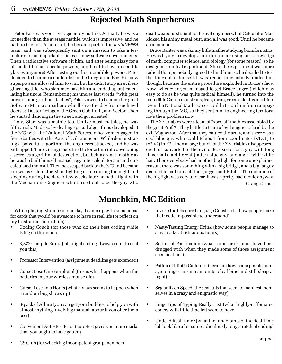## **Rejected Math Superheroes**

Peter Park was your average nerdy mathie. Actually he was a lot nerdier than the average mathie, which is impressive, and he had no friends. As a result, he became part of the *math*NEWS team, and was subsequently sent on a mission to take a few pictures for an important articles on new software developments. Then a radioactive software bit him, and after being dizzy for a bit he felt he had special powers, and he didn't even need his glasses anymore! After testing out his incredible powers, Peter decided to become a contender in the Integration Bee. His new superpowers allowed him to win, but he didn't stop an evil engineering thief who slammed past him and ended up out-calculating his uncle. Remembering his uncles last words, "with great power come great headaches", Peter vowed to become the great Software Man, a superhero who'll save the day from such evil doers as Doctor Octagon, the Green Gob-limit, and Vector. Then he started dancing in the street, and got arrested.

Tony Starr was a mathie too. Unlike most mathies, he was filthy rich. Made so by dealing special algorithms developed at the MC with the National Math Forces, who were engaged in fierce battles with the Axis of Evil Engineers. While demonstrating a powerful algorithm, the engineers attacked, and he was kidnapped. The evil engineers tried to force him into developing a secret cs algorithm of destruction, but being a smart mathie as he was he built himself instead a gigantic calculator suit and outcalculated them all. Then he escaped back to the MC and became known as Calculator-Man, fighting crime during the night and sleeping during the day. A few weeks later he had a fight with the Mechatronic-Engineer who turned out to be the guy who

dealt weapons straight to the evil engineers, but Calculator Man kicked his shiny metal butt, and all was good. Until he became an alcoholic.

Bruce Banter was a skinny little mathie studying bioinformatics. He was trying to develop a cure for cancer using his knowledge of math, computer science, and biology (for some reason), so he designed a radical experiment. Since the experiment was more radical than pi, nobody agreed to fund him, so he decided to test the thing out on himself. It was a good thing nobody funded him though, because the entire procedure exploded in Bruce's face. Now, whenever you managed to get Bruce angry (which was easy to do as he was quite radical himself), he turned into the Incredible Calc- a monstrous, lean, mean, green calculus machine. Even the National Math Forces couldn't stop him from rampaging through the MC, so they sent him to engineering territory. He's their problem now.

The X-variables were a team of "special" mathies assembled by the great Prof X. They battled a team of evil engineers lead by the evil Magnetron. After that they battled the army, and there was a cool blue guy who could teleport from coordinates (x1,y1) to (x2,y2) in R2. Then a large bunch of the X-variables disappeared, died, or converted to the evil side, except for a guy with long fingernails, a different (fatter) blue guy, and a girl with white hair. Then everybody had another big fight for some unexplained reason, there was something with a big bridge, and a big fat guy decided to call himself the "Juggernaut Bitch". The outcome of the big fight was very unclear. It was a pretty bad movie anyway.

Orange Crush

## **Munchkin, MC Edition**

While playing Munchkin one day, I came up with some ideas for cards that would be awesome to have in real life (or reflect on my frustrations in real life):

- Coding Couch (for those who do their best coding while lying on the couch)
- 3,872 Compile Errors (late-night coding always seems to deal you this)
- Professor Intervention (assignment deadline gets extended)
- Curse! Lose One Peripheral (this is what happens when the batteries in your wireless mouse die)
- Curse! Lose Two Hours (what always seems to happen when a random bug shows up)
- 6-pack of Allure (you can get your buddies to help you with almost anything involving manual labour if you offer them beer)
- Convenient Auto-Test Error (auto-test gives you more marks than you ought to have gotten)
- Invoke the Obscure Language Constructs (how people make their code impossible to understand)
- Nasty-Tasting Energy Drink (how some people manage to stay awake at ridiculous hours)
- Sotion of Pecification (what some profs must have been drugged with when they made some of those assignment specifications)
- Potion of Idiotic Caffeine Tolerance (how some people manage to ingest insane amounts of caffeine and still sleep at night)
- Segfaults on Speed (the segfaults that seem to manifest themselves in a crazy and enigmatic way)
- Fingertips of Typing Really Fast (what highly-caffeinated coders with little time left seem to have)
- Undead Real-Timer (what the inhabitants of the Real-Time lab look like after some ridiculously long stretch of coding)
- CS Club (for whacking incompetent group members)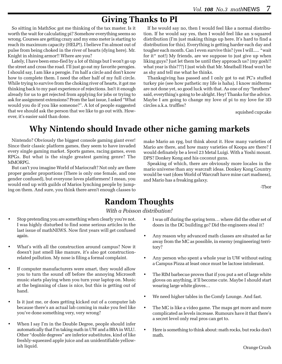## **Giving Thanks to PI**

So sitting in MathSoc got me thinking of the tax master. Is it worth the wait for calculating pi? Somehow everything seems so wrong. Courses are getting crazy and my emo meter is starting to reach its maximum capacity (HELP!). I believe I'm almost out of pulse from being choked in the river of hearts (dying here). Mr. Knight in shining armor!! Where are you?

Lately, I have been emo-fied by a lot of things but I won't go up the street and cross the road. I'll just go eat my favorite perogies. I should say, I am like a perogie. I'm half a circle and don't know how to complete them. I need the other half of my full circle. While trying to survive from the choking river of hearts, it got me thinking back to my past experience of rejections. Isn't it enough already for us to get rejected from applying for jobs or trying to ask for assignment extensions? From the last issue, I asked "What would you do if you like someone?". A lot of people suggested that we should ask the person that we like to go out with. However, it's easier said than done.

If he would say no, then I would feel like a normal distribution. If he would say yes, then I would feel like an x-squared distribution (I'm just making things up here. It's hard to find a distribution for this). Everything is getting harder each day and tougher each month. Can I even survive this? (yes I will..... \*wait for it\* not!) My friends, are we suppose to just give up when liking guys? Just let them be until they approach us? (my gosh!! what year is this???) I just wish that Mr. Meatball Head won't be as shy and tell me what he thinks.

Thanksgiving has passed and I only got to eat PC's stuffed turkey pie (see how pathetic my life is haha). I know midterms are not done yet, so good luck with that. As one of my "brothers" said, everything's going to be alright. Hey! Thanks for the advice. Maybe I am going to change my love of pi to my love for 3D circles a.k.a. truffles?

squished cupcake

# **Why Nintendo should Invade other niche gaming markets**

Nintendo? Obviously the biggest console gaming giant ever! Since their classic platform games, they seem to have invaded every single gaming market. Sports games, racing games, even RPGs. But what is the single greatest gaming genre? The MMORPG.

But can't you imagine World of Mariocraft? Not only are there proper gender proportions (There is only one female, and one gender confused), but everyone loves platformers! I mean, you would end up with guilds of Marios lynching people by jumping on them. And sure, you think there aren't enough classes to

make Mario an rpg, but think about it. How many varieties of Mario are there, and how many varieties of Koopa are there? I would definately be a level 23 Metal Luigi. With a Yoshi mount. DPS? Donkey Kong and his coconut guns.

Speaking of which, there are obviously more locales in the mario universe than any warcraft ideas. Donkey Kong Country would be vast (does World of Warcraft have mine cart madness), and Mario has a freaking galaxy.

-Tbor

## **Random Thoughts**

*With a Poisson distribution!*

- Stop pretending you are something when clearly you're not. I was highly disturbed to find some serious articles in the last issue of mathNEWS. Now first years will get confused again.
- What's with all the construction around campus? Now it doesn't just smell like manure, it's also got constructionrelated pollution. My nose is filing a formal complaint.
- If computer manufacturers were smart, they would allow you to turn the sound off before the annoying Microsoft music starts playing when you turn your laptop on. Music at the beginning of class is nice, but this is getting out of hand.
- Is it just me, or does getting kicked out of a computer lab because there's an actual lab coming in make you feel like you've done something very, very wrong?
- When I say I'm in the Double Degree, people should infer automatically that I'm taking math in UW and a BBA in WLU. Other "double degrees" are inferior substitutes, kind of like freshly-squeezed apple juice and an unidentifiable yellowish liquid.
- I was off during the spring term... where did the other set of doors in the DC building go? Did the engineers steal it?
- Any reason why advanced math classes are situated as far away from the MC as possible, in enemy (engineering) territory?
- Any person who spent a whole year in UW without eating a Campus Pizza at least once must be lactose intolerant.
- The RIM barbecue proves that if you put a set of large white gloves on anything, it'll become cute. Maybe I should start wearing large white gloves…
- We need higher tables in the Comfy Lounge. And fast.
- The MC is like a video game. The maps get more and more complicated as levels increase. Rumours have it that there's a secret level only real pros can get to.
- Here is something to think about: math rocks, but rocks don't math.